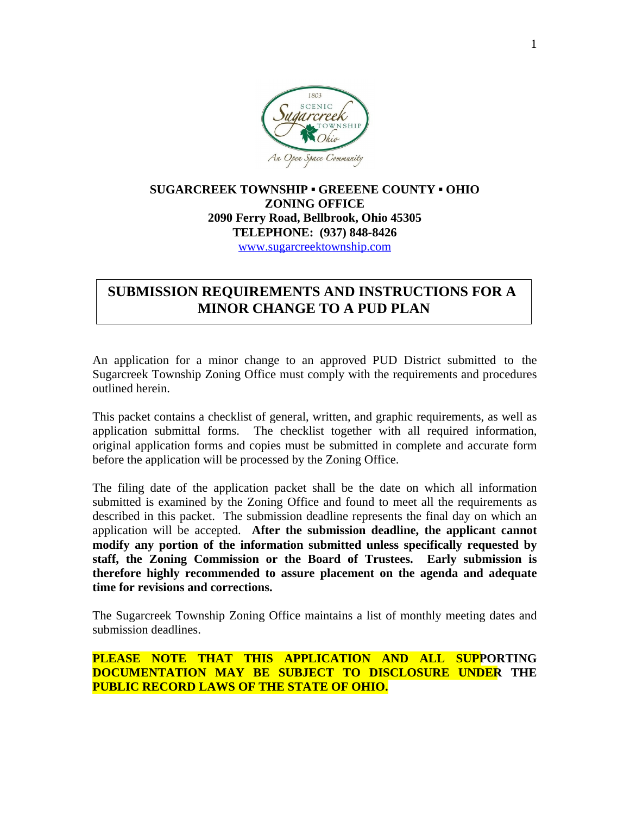

# **SUGARCREEK TOWNSHIP ▪ GREEENE COUNTY ▪ OHIO ZONING OFFICE 2090 Ferry Road, Bellbrook, Ohio 45305 TELEPHONE: (937) 848-8426** [www.sugarcreektownship.com](http://www.sugarcreektownship.com)

# **SUBMISSION REQUIREMENTS AND INSTRUCTIONS FOR A MINOR CHANGE TO A PUD PLAN**

An application for a minor change to an approved PUD District submitted to the Sugarcreek Township Zoning Office must comply with the requirements and procedures outlined herein.

This packet contains a checklist of general, written, and graphic requirements, as well as application submittal forms. The checklist together with all required information, original application forms and copies must be submitted in complete and accurate form before the application will be processed by the Zoning Office.

The filing date of the application packet shall be the date on which all information submitted is examined by the Zoning Office and found to meet all the requirements as described in this packet. The submission deadline represents the final day on which an application will be accepted. **After the submission deadline, the applicant cannot modify any portion of the information submitted unless specifically requested by staff, the Zoning Commission or the Board of Trustees. Early submission is therefore highly recommended to assure placement on the agenda and adequate time for revisions and corrections.**

The Sugarcreek Township Zoning Office maintains a list of monthly meeting dates and submission deadlines.

**PLEASE NOTE THAT THIS APPLICATION AND ALL SUPPORTING DOCUMENTATION MAY BE SUBJECT TO DISCLOSURE UNDER THE PUBLIC RECORD LAWS OF THE STATE OF OHIO.**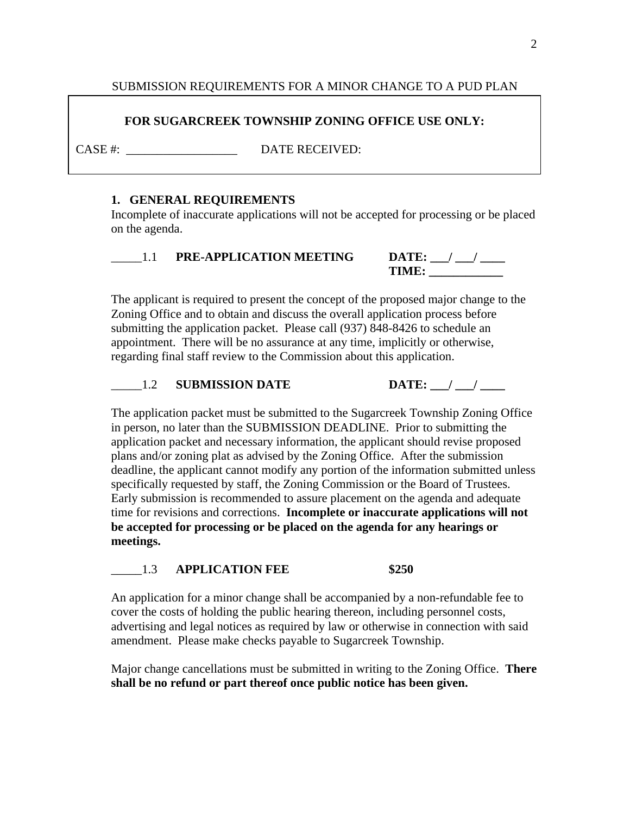# SUBMISSION REQUIREMENTS FOR A MINOR CHANGE TO A PUD PLAN

# **FOR SUGARCREEK TOWNSHIP ZONING OFFICE USE ONLY:**

CASE #:  $DATE RECEIVED:$ 

### **1. GENERAL REQUIREMENTS**

Incomplete of inaccurate applications will not be accepted for processing or be placed on the agenda.

| <b>PRE-APPLICATION MEETING</b> | $\mathbf{DATE:}$ |
|--------------------------------|------------------|
|                                | TIMF             |

The applicant is required to present the concept of the proposed major change to the Zoning Office and to obtain and discuss the overall application process before submitting the application packet. Please call (937) 848-8426 to schedule an appointment. There will be no assurance at any time, implicitly or otherwise, regarding final staff review to the Commission about this application.

# 1.2 **SUBMISSION DATE DATE:** / /

The application packet must be submitted to the Sugarcreek Township Zoning Office in person, no later than the SUBMISSION DEADLINE. Prior to submitting the application packet and necessary information, the applicant should revise proposed plans and/or zoning plat as advised by the Zoning Office. After the submission deadline, the applicant cannot modify any portion of the information submitted unless specifically requested by staff, the Zoning Commission or the Board of Trustees. Early submission is recommended to assure placement on the agenda and adequate time for revisions and corrections. **Incomplete or inaccurate applications will not be accepted for processing or be placed on the agenda for any hearings or meetings.**

# \_\_\_\_\_1.3 **APPLICATION FEE \$250**

An application for a minor change shall be accompanied by a non-refundable fee to cover the costs of holding the public hearing thereon, including personnel costs, advertising and legal notices as required by law or otherwise in connection with said amendment. Please make checks payable to Sugarcreek Township.

Major change cancellations must be submitted in writing to the Zoning Office. **There shall be no refund or part thereof once public notice has been given.**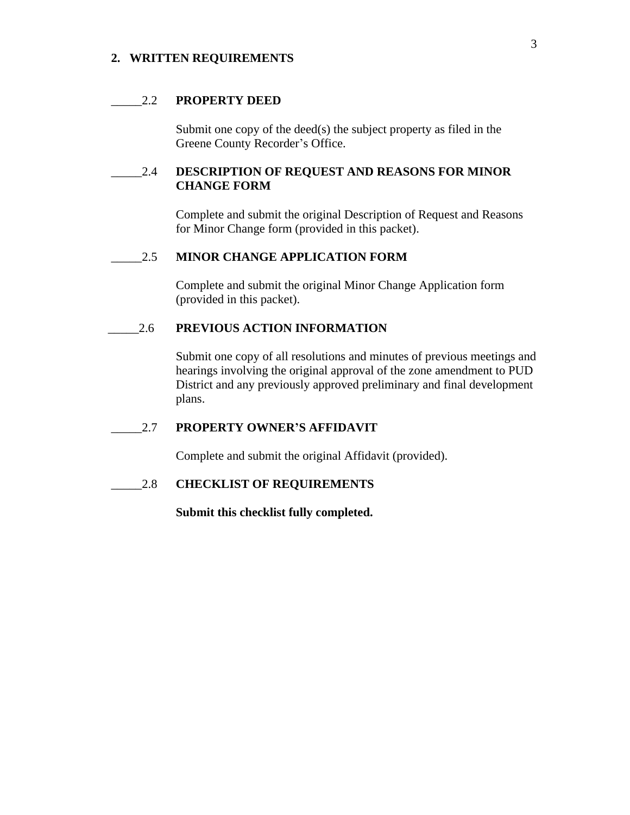#### **2. WRITTEN REQUIREMENTS**

#### \_\_\_\_\_2.2 **PROPERTY DEED**

Submit one copy of the deed(s) the subject property as filed in the Greene County Recorder's Office.

# \_\_\_\_\_2.4 **DESCRIPTION OF REQUEST AND REASONS FOR MINOR CHANGE FORM**

Complete and submit the original Description of Request and Reasons for Minor Change form (provided in this packet).

#### \_\_\_\_\_2.5 **MINOR CHANGE APPLICATION FORM**

Complete and submit the original Minor Change Application form (provided in this packet).

## \_\_\_\_\_2.6 **PREVIOUS ACTION INFORMATION**

Submit one copy of all resolutions and minutes of previous meetings and hearings involving the original approval of the zone amendment to PUD District and any previously approved preliminary and final development plans.

\_\_\_\_\_2.7 **PROPERTY OWNER'S AFFIDAVIT**

Complete and submit the original Affidavit (provided).

\_\_\_\_\_2.8 **CHECKLIST OF REQUIREMENTS**

**Submit this checklist fully completed.**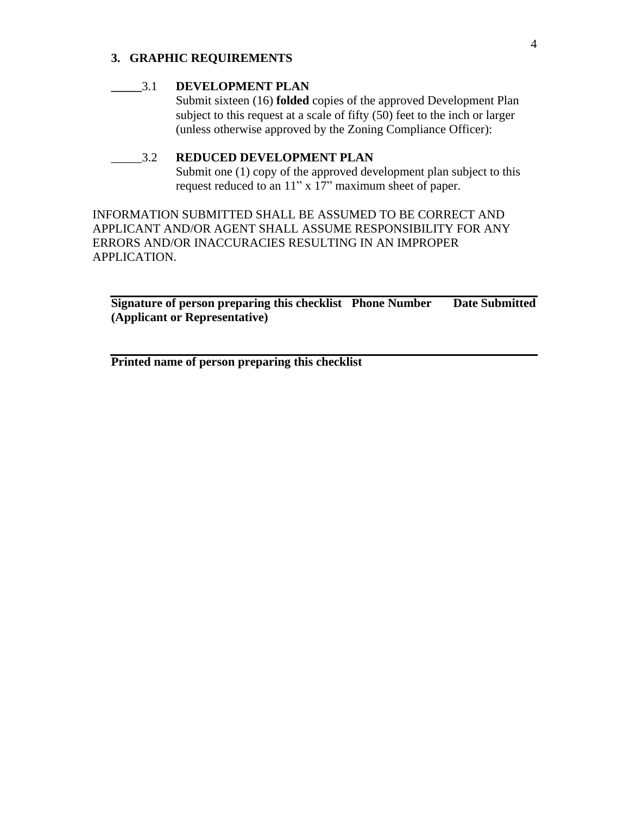# **3. GRAPHIC REQUIREMENTS**

#### **\_\_\_\_\_**3.1 **DEVELOPMENT PLAN**

Submit sixteen (16) **folded** copies of the approved Development Plan subject to this request at a scale of fifty (50) feet to the inch or larger (unless otherwise approved by the Zoning Compliance Officer):

# \_\_\_\_\_3.2 **REDUCED DEVELOPMENT PLAN**

Submit one (1) copy of the approved development plan subject to this request reduced to an 11" x 17" maximum sheet of paper.

INFORMATION SUBMITTED SHALL BE ASSUMED TO BE CORRECT AND APPLICANT AND/OR AGENT SHALL ASSUME RESPONSIBILITY FOR ANY ERRORS AND/OR INACCURACIES RESULTING IN AN IMPROPER APPLICATION.

**Signature of person preparing this checklist Phone Number Date Submitted (Applicant or Representative)**

**Printed name of person preparing this checklist**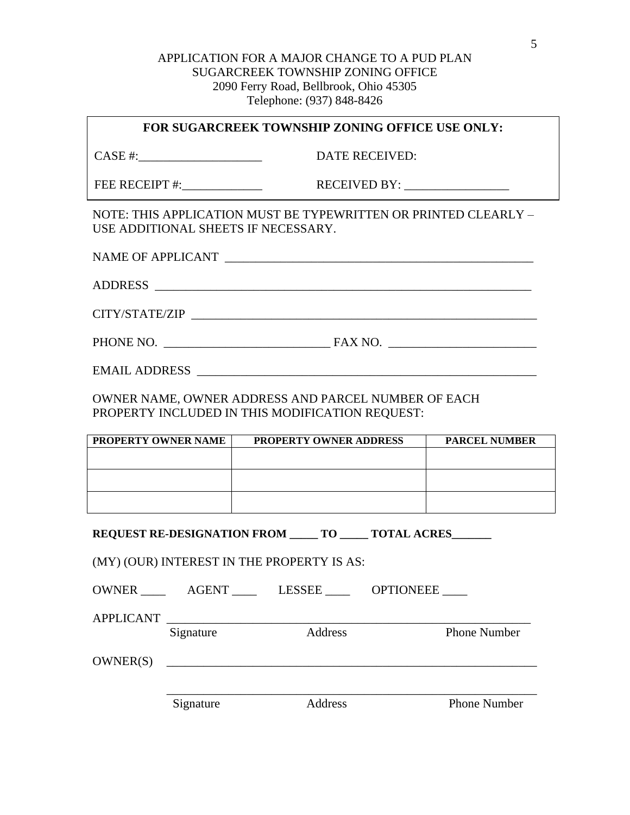# APPLICATION FOR A MAJOR CHANGE TO A PUD PLAN SUGARCREEK TOWNSHIP ZONING OFFICE 2090 Ferry Road, Bellbrook, Ohio 45305 Telephone: (937) 848-8426

#### **FOR SUGARCREEK TOWNSHIP ZONING OFFICE USE ONLY:**

CASE #:\_\_\_\_\_\_\_\_\_\_\_\_\_\_\_\_\_\_\_\_ DATE RECEIVED:

FEE RECEIPT #:\_\_\_\_\_\_\_\_\_\_\_\_\_ RECEIVED BY: \_\_\_\_\_\_\_\_\_\_\_\_\_\_\_\_\_

NOTE: THIS APPLICATION MUST BE TYPEWRITTEN OR PRINTED CLEARLY – USE ADDITIONAL SHEETS IF NECESSARY.

NAME OF APPLICANT **NAME OF APPLICANT** 

ADDRESS \_\_\_\_\_\_\_\_\_\_\_\_\_\_\_\_\_\_\_\_\_\_\_\_\_\_\_\_\_\_\_\_\_\_\_\_\_\_\_\_\_\_\_\_\_\_\_\_\_\_\_\_\_\_\_\_\_\_\_\_\_

 $CITY/STATE/ZIP$ 

PHONE NO. \_\_\_\_\_\_\_\_\_\_\_\_\_\_\_\_\_\_\_\_\_\_\_\_\_\_\_ FAX NO. \_\_\_\_\_\_\_\_\_\_\_\_\_\_\_\_\_\_\_\_\_\_\_\_

EMAIL ADDRESS \_\_\_\_\_\_\_\_\_\_\_\_\_\_\_\_\_\_\_\_\_\_\_\_\_\_\_\_\_\_\_\_\_\_\_\_\_\_\_\_\_\_\_\_\_\_\_\_\_\_\_\_\_\_\_

OWNER NAME, OWNER ADDRESS AND PARCEL NUMBER OF EACH PROPERTY INCLUDED IN THIS MODIFICATION REQUEST:

| PROPERTY OWNER NAME | <b>PROPERTY OWNER ADDRESS</b> | <b>PARCEL NUMBER</b> |
|---------------------|-------------------------------|----------------------|
|                     |                               |                      |
|                     |                               |                      |
|                     |                               |                      |
|                     |                               |                      |
|                     |                               |                      |
|                     |                               |                      |

**REQUEST RE-DESIGNATION FROM \_\_\_\_\_\_\_ TO \_\_\_\_\_\_\_\_ TOTAL ACRES** 

(MY) (OUR) INTEREST IN THE PROPERTY IS AS:

| OWNER            | AGENT _____                                                      | LESSEE  | OPTIONEEE           |
|------------------|------------------------------------------------------------------|---------|---------------------|
| <b>APPLICANT</b> | <u> 1980 - Jan James James Barnett, fransk politik (d. 1980)</u> |         |                     |
|                  | Signature                                                        | Address | <b>Phone Number</b> |
| OWNER(S)         |                                                                  |         |                     |
|                  |                                                                  |         |                     |
|                  | Signature                                                        | Address | <b>Phone Number</b> |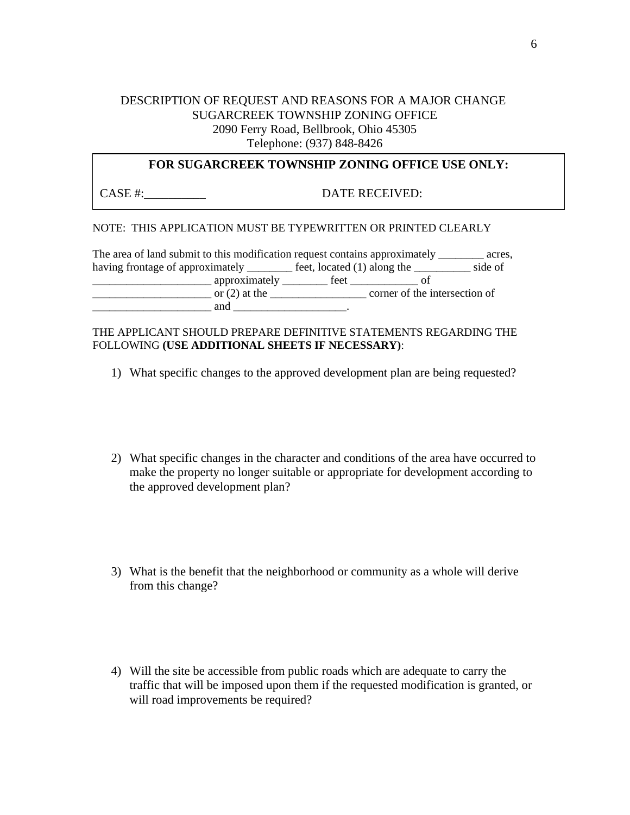# DESCRIPTION OF REQUEST AND REASONS FOR A MAJOR CHANGE SUGARCREEK TOWNSHIP ZONING OFFICE 2090 Ferry Road, Bellbrook, Ohio 45305 Telephone: (937) 848-8426

# **FOR SUGARCREEK TOWNSHIP ZONING OFFICE USE ONLY:**

CASE #:  $\qquad \qquad$  DATE RECEIVED:

#### NOTE: THIS APPLICATION MUST BE TYPEWRITTEN OR PRINTED CLEARLY

| The area of land submit to this modification request contains approximately |                 |                             |                               | acres.  |
|-----------------------------------------------------------------------------|-----------------|-----------------------------|-------------------------------|---------|
| having frontage of approximately ______                                     |                 | feet, located (1) along the |                               | side of |
|                                                                             | approximately   | feet                        |                               |         |
|                                                                             | or $(2)$ at the |                             | corner of the intersection of |         |
|                                                                             | and             |                             |                               |         |

#### THE APPLICANT SHOULD PREPARE DEFINITIVE STATEMENTS REGARDING THE FOLLOWING **(USE ADDITIONAL SHEETS IF NECESSARY)**:

- 1) What specific changes to the approved development plan are being requested?
- 2) What specific changes in the character and conditions of the area have occurred to make the property no longer suitable or appropriate for development according to the approved development plan?
- 3) What is the benefit that the neighborhood or community as a whole will derive from this change?
- 4) Will the site be accessible from public roads which are adequate to carry the traffic that will be imposed upon them if the requested modification is granted, or will road improvements be required?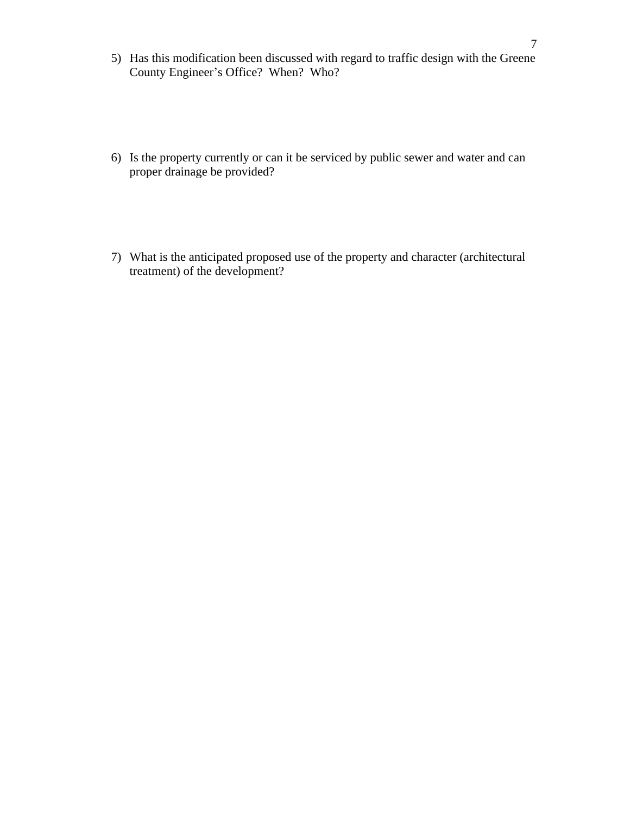- 5) Has this modification been discussed with regard to traffic design with the Greene County Engineer's Office? When? Who?
- 6) Is the property currently or can it be serviced by public sewer and water and can proper drainage be provided?
- 7) What is the anticipated proposed use of the property and character (architectural treatment) of the development?